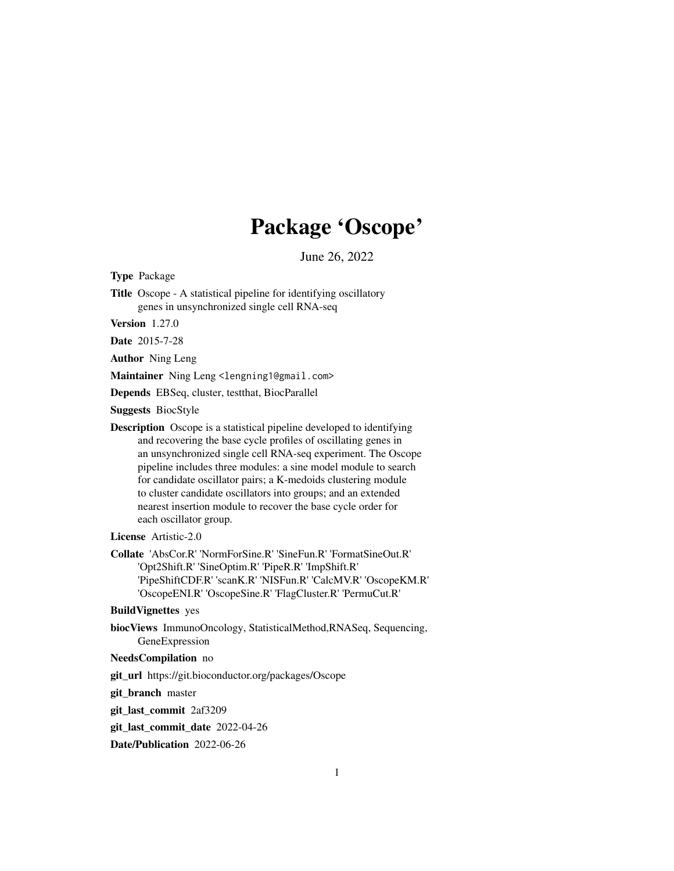## Package 'Oscope'

June 26, 2022

Type Package

Title Oscope - A statistical pipeline for identifying oscillatory genes in unsynchronized single cell RNA-seq

Version 1.27.0

Date 2015-7-28

Author Ning Leng

Maintainer Ning Leng <lengning1@gmail.com>

Depends EBSeq, cluster, testthat, BiocParallel

Suggests BiocStyle

Description Oscope is a statistical pipeline developed to identifying and recovering the base cycle profiles of oscillating genes in an unsynchronized single cell RNA-seq experiment. The Oscope pipeline includes three modules: a sine model module to search for candidate oscillator pairs; a K-medoids clustering module to cluster candidate oscillators into groups; and an extended nearest insertion module to recover the base cycle order for each oscillator group.

License Artistic-2.0

Collate 'AbsCor.R' 'NormForSine.R' 'SineFun.R' 'FormatSineOut.R' 'Opt2Shift.R' 'SineOptim.R' 'PipeR.R' 'ImpShift.R' 'PipeShiftCDF.R' 'scanK.R' 'NISFun.R' 'CalcMV.R' 'OscopeKM.R' 'OscopeENI.R' 'OscopeSine.R' 'FlagCluster.R' 'PermuCut.R'

BuildVignettes yes

biocViews ImmunoOncology, StatisticalMethod,RNASeq, Sequencing, GeneExpression

#### NeedsCompilation no

git\_url https://git.bioconductor.org/packages/Oscope

git\_branch master

git\_last\_commit 2af3209

git last commit date 2022-04-26

Date/Publication 2022-06-26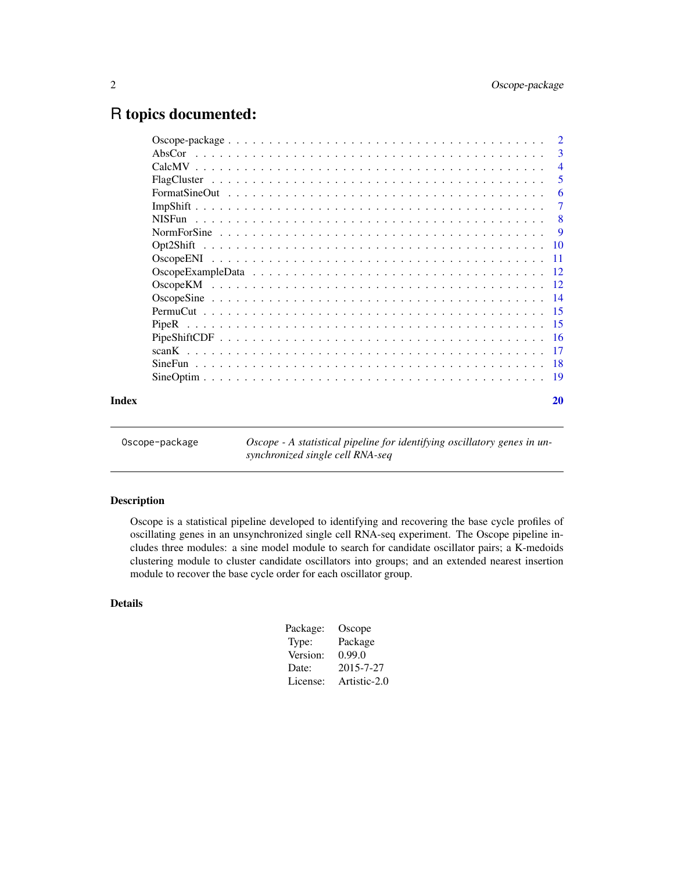### <span id="page-1-0"></span>R topics documented:

|       | $\overline{\phantom{a}}$ |
|-------|--------------------------|
|       | $\overline{4}$           |
|       | 5                        |
|       | 6                        |
|       | 7                        |
|       | -8                       |
|       | <b>9</b>                 |
|       |                          |
|       |                          |
|       |                          |
|       |                          |
|       |                          |
|       |                          |
|       |                          |
|       |                          |
|       |                          |
|       |                          |
|       |                          |
| Index | 20                       |
|       |                          |

Oscope-package *Oscope - A statistical pipeline for identifying oscillatory genes in unsynchronized single cell RNA-seq*

#### Description

Oscope is a statistical pipeline developed to identifying and recovering the base cycle profiles of oscillating genes in an unsynchronized single cell RNA-seq experiment. The Oscope pipeline includes three modules: a sine model module to search for candidate oscillator pairs; a K-medoids clustering module to cluster candidate oscillators into groups; and an extended nearest insertion module to recover the base cycle order for each oscillator group.

#### Details

| Oscope       |
|--------------|
| Package      |
| 0.99.0       |
| 2015-7-27    |
| Artistic-2.0 |
|              |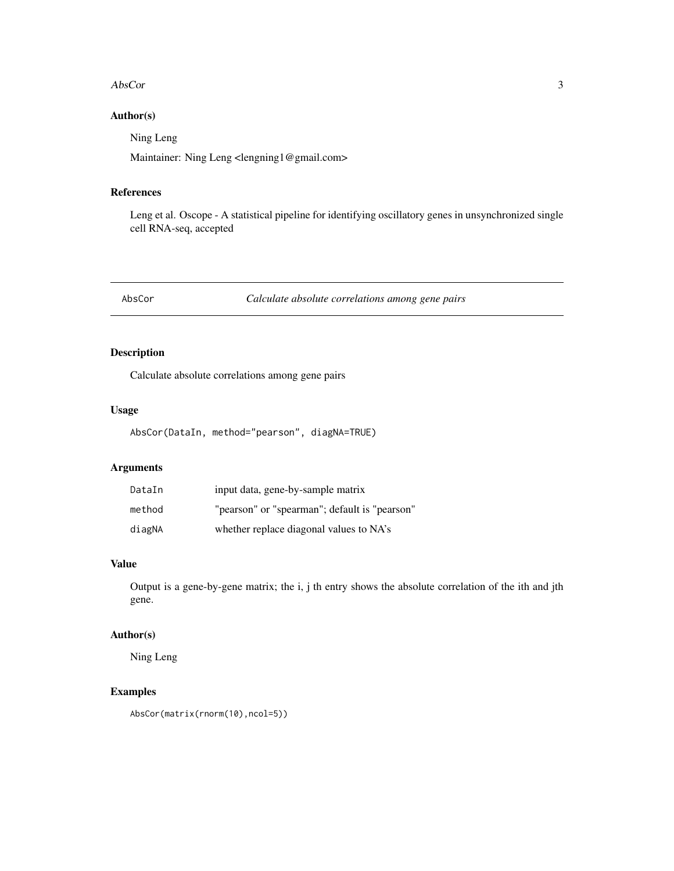#### <span id="page-2-0"></span>AbsCor 3

#### Author(s)

Ning Leng

Maintainer: Ning Leng <lengning1@gmail.com>

#### References

Leng et al. Oscope - A statistical pipeline for identifying oscillatory genes in unsynchronized single cell RNA-seq, accepted

AbsCor *Calculate absolute correlations among gene pairs*

#### Description

Calculate absolute correlations among gene pairs

#### Usage

AbsCor(DataIn, method="pearson", diagNA=TRUE)

#### Arguments

| DataIn | input data, gene-by-sample matrix             |
|--------|-----------------------------------------------|
| method | "pearson" or "spearman"; default is "pearson" |
| diagNA | whether replace diagonal values to NA's       |

#### Value

Output is a gene-by-gene matrix; the i, j th entry shows the absolute correlation of the ith and jth gene.

#### Author(s)

Ning Leng

#### Examples

AbsCor(matrix(rnorm(10),ncol=5))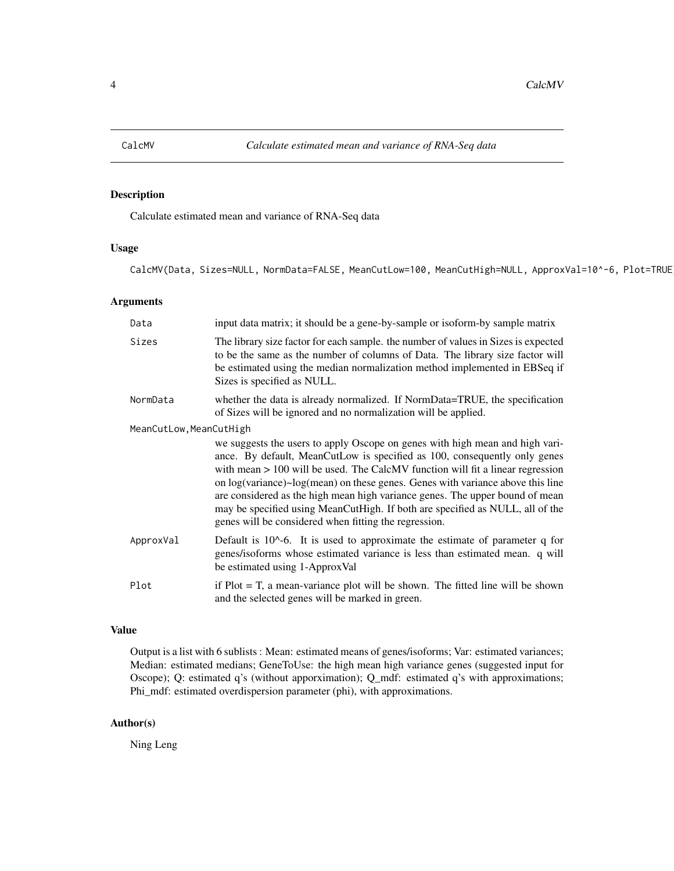<span id="page-3-0"></span>

Calculate estimated mean and variance of RNA-Seq data

#### Usage

CalcMV(Data, Sizes=NULL, NormData=FALSE, MeanCutLow=100, MeanCutHigh=NULL, ApproxVal=10^-6, Plot=TRUE

#### Arguments

| Data                    | input data matrix; it should be a gene-by-sample or isoform-by sample matrix                                                                                                                                                                                                                                                                                                                                                                                                                                                                                     |
|-------------------------|------------------------------------------------------------------------------------------------------------------------------------------------------------------------------------------------------------------------------------------------------------------------------------------------------------------------------------------------------------------------------------------------------------------------------------------------------------------------------------------------------------------------------------------------------------------|
| Sizes                   | The library size factor for each sample. the number of values in Sizes is expected<br>to be the same as the number of columns of Data. The library size factor will<br>be estimated using the median normalization method implemented in EBSeq if<br>Sizes is specified as NULL.                                                                                                                                                                                                                                                                                 |
| NormData                | whether the data is already normalized. If NormData=TRUE, the specification<br>of Sizes will be ignored and no normalization will be applied.                                                                                                                                                                                                                                                                                                                                                                                                                    |
| MeanCutLow, MeanCutHigh | we suggests the users to apply Oscope on genes with high mean and high vari-<br>ance. By default, MeanCutLow is specified as 100, consequently only genes<br>with mean $> 100$ will be used. The CalcMV function will fit a linear regression<br>on $log(variance) \sim log-mean)$ on these genes. Genes with variance above this line<br>are considered as the high mean high variance genes. The upper bound of mean<br>may be specified using MeanCutHigh. If both are specified as NULL, all of the<br>genes will be considered when fitting the regression. |
| ApproxVal               | Default is $10^{\circ}$ -6. It is used to approximate the estimate of parameter q for<br>genes/isoforms whose estimated variance is less than estimated mean. q will<br>be estimated using 1-ApproxVal                                                                                                                                                                                                                                                                                                                                                           |
| Plot                    | if $Plot = T$ , a mean-variance plot will be shown. The fitted line will be shown<br>and the selected genes will be marked in green.                                                                                                                                                                                                                                                                                                                                                                                                                             |

#### Value

Output is a list with 6 sublists : Mean: estimated means of genes/isoforms; Var: estimated variances; Median: estimated medians; GeneToUse: the high mean high variance genes (suggested input for Oscope); Q: estimated q's (without apporximation); Q\_mdf: estimated q's with approximations; Phi\_mdf: estimated overdispersion parameter (phi), with approximations.

#### Author(s)

Ning Leng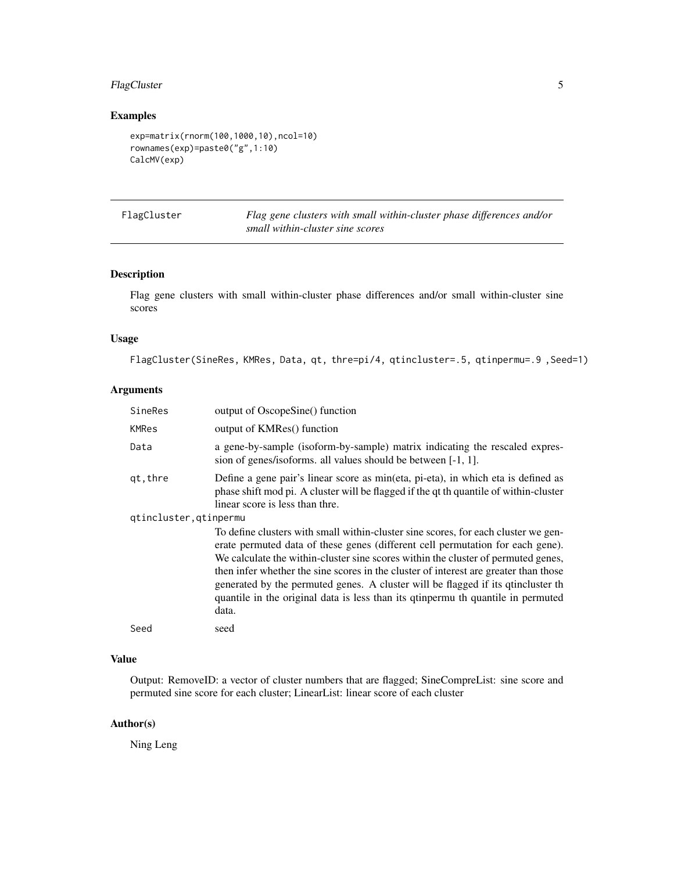#### <span id="page-4-0"></span>FlagCluster 5

#### Examples

```
exp=matrix(rnorm(100,1000,10),ncol=10)
rownames(exp)=paste0("g",1:10)
CalcMV(exp)
```
Flag gene clusters with small within-cluster phase differences and/or *small within-cluster sine scores*

#### Description

Flag gene clusters with small within-cluster phase differences and/or small within-cluster sine scores

#### Usage

FlagCluster(SineRes, KMRes, Data, qt, thre=pi/4, qtincluster=.5, qtinpermu=.9 ,Seed=1)

#### Arguments

| SineRes                | output of OscopeSine() function                                                                                                                                                                                                                                                                                                                                                                                                                                                                                                     |
|------------------------|-------------------------------------------------------------------------------------------------------------------------------------------------------------------------------------------------------------------------------------------------------------------------------------------------------------------------------------------------------------------------------------------------------------------------------------------------------------------------------------------------------------------------------------|
| KMRes                  | output of KMRes() function                                                                                                                                                                                                                                                                                                                                                                                                                                                                                                          |
| Data                   | a gene-by-sample (isoform-by-sample) matrix indicating the rescaled expres-<br>sion of genes/isoforms. all values should be between [-1, 1].                                                                                                                                                                                                                                                                                                                                                                                        |
| qt, thre               | Define a gene pair's linear score as min(eta, pi-eta), in which eta is defined as<br>phase shift mod pi. A cluster will be flagged if the qt th quantile of within-cluster<br>linear score is less than thre.                                                                                                                                                                                                                                                                                                                       |
| qtincluster, qtinpermu |                                                                                                                                                                                                                                                                                                                                                                                                                                                                                                                                     |
|                        | To define clusters with small within-cluster sine scores, for each cluster we gen-<br>erate permuted data of these genes (different cell permutation for each gene).<br>We calculate the within-cluster sine scores within the cluster of permuted genes,<br>then infer whether the sine scores in the cluster of interest are greater than those<br>generated by the permuted genes. A cluster will be flagged if its quincluster the<br>quantile in the original data is less than its quinpermu th quantile in permuted<br>data. |
| Seed                   | seed                                                                                                                                                                                                                                                                                                                                                                                                                                                                                                                                |

#### Value

Output: RemoveID: a vector of cluster numbers that are flagged; SineCompreList: sine score and permuted sine score for each cluster; LinearList: linear score of each cluster

#### Author(s)

Ning Leng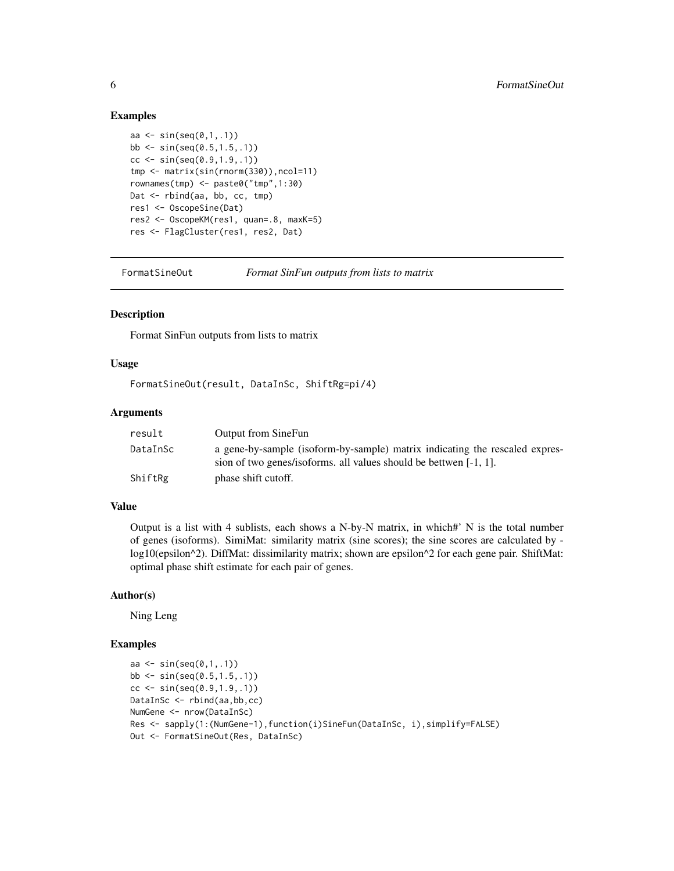#### Examples

```
aa \le sin(seq(0,1,1))
bb \le sin(seq(0.5,1.5,.1))
cc \le sin(seq(0.9,1.9,.1))
tmp <- matrix(sin(rnorm(330)),ncol=11)
rownames(tmp) <- paste0("tmp",1:30)
Dat <- rbind(aa, bb, cc, tmp)
res1 <- OscopeSine(Dat)
res2 <- OscopeKM(res1, quan=.8, maxK=5)
res <- FlagCluster(res1, res2, Dat)
```
FormatSineOut *Format SinFun outputs from lists to matrix*

#### Description

Format SinFun outputs from lists to matrix

#### Usage

FormatSineOut(result, DataInSc, ShiftRg=pi/4)

#### Arguments

| result   | Output from SineFun                                                                                                                              |
|----------|--------------------------------------------------------------------------------------------------------------------------------------------------|
| DataInSc | a gene-by-sample (isoform-by-sample) matrix indicating the rescaled expres-<br>sion of two genes/isoforms. all values should be bettwen [-1, 1]. |
| ShiftRg  | phase shift cutoff.                                                                                                                              |

#### Value

Output is a list with 4 sublists, each shows a N-by-N matrix, in which#' N is the total number of genes (isoforms). SimiMat: similarity matrix (sine scores); the sine scores are calculated by log10(epsilon^2). DiffMat: dissimilarity matrix; shown are epsilon^2 for each gene pair. ShiftMat: optimal phase shift estimate for each pair of genes.

#### Author(s)

Ning Leng

```
aa \le sin(seq(0,1,.1))
bb \le sin(seq(0.5,1.5,.1))
cc < - \sin(\sec(\theta.9, 1.9, .1))DataInSc <- rbind(aa,bb,cc)
NumGene <- nrow(DataInSc)
Res <- sapply(1:(NumGene-1),function(i)SineFun(DataInSc, i),simplify=FALSE)
Out <- FormatSineOut(Res, DataInSc)
```
<span id="page-5-0"></span>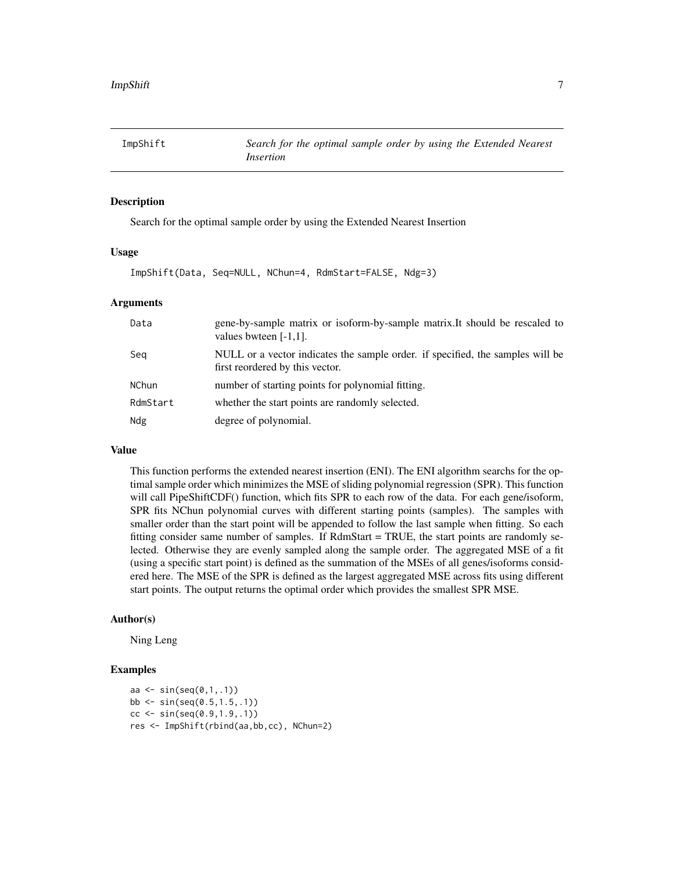<span id="page-6-0"></span>

Search for the optimal sample order by using the Extended Nearest Insertion

#### Usage

ImpShift(Data, Seq=NULL, NChun=4, RdmStart=FALSE, Ndg=3)

#### Arguments

| Data     | gene-by-sample matrix or isoform-by-sample matrix. It should be rescaled to<br>values bwteen $[-1,1]$ .           |
|----------|-------------------------------------------------------------------------------------------------------------------|
| Seg      | NULL or a vector indicates the sample order. if specified, the samples will be<br>first reordered by this vector. |
| NChun    | number of starting points for polynomial fitting.                                                                 |
| RdmStart | whether the start points are randomly selected.                                                                   |
| Ndg      | degree of polynomial.                                                                                             |

#### Value

This function performs the extended nearest insertion (ENI). The ENI algorithm searchs for the optimal sample order which minimizes the MSE of sliding polynomial regression (SPR). This function will call PipeShiftCDF() function, which fits SPR to each row of the data. For each gene/isoform, SPR fits NChun polynomial curves with different starting points (samples). The samples with smaller order than the start point will be appended to follow the last sample when fitting. So each fitting consider same number of samples. If RdmStart = TRUE, the start points are randomly selected. Otherwise they are evenly sampled along the sample order. The aggregated MSE of a fit (using a specific start point) is defined as the summation of the MSEs of all genes/isoforms considered here. The MSE of the SPR is defined as the largest aggregated MSE across fits using different start points. The output returns the optimal order which provides the smallest SPR MSE.

#### Author(s)

Ning Leng

```
aa <- sin(seq(0,1,.1))
bb <- sin(seq(0.5,1.5,.1))
cc \le sin(seq(0.9,1.9,.1))
res <- ImpShift(rbind(aa,bb,cc), NChun=2)
```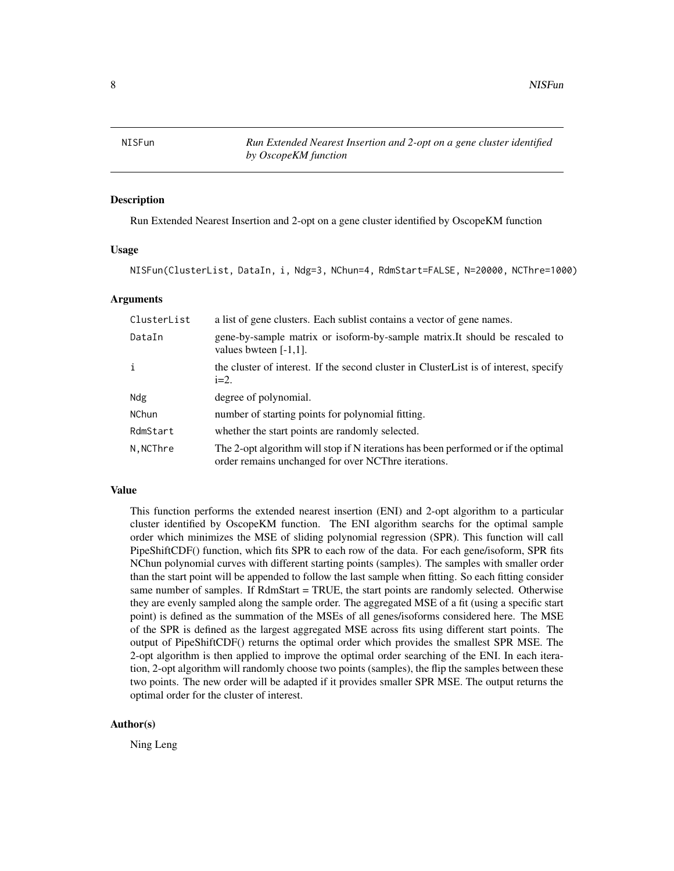<span id="page-7-0"></span>NISFun *Run Extended Nearest Insertion and 2-opt on a gene cluster identified by OscopeKM function*

#### Description

Run Extended Nearest Insertion and 2-opt on a gene cluster identified by OscopeKM function

#### Usage

NISFun(ClusterList, DataIn, i, Ndg=3, NChun=4, RdmStart=FALSE, N=20000, NCThre=1000)

#### Arguments

| ClusterList  | a list of gene clusters. Each sublist contains a vector of gene names.                                                                    |
|--------------|-------------------------------------------------------------------------------------------------------------------------------------------|
| DataIn       | gene-by-sample matrix or isoform-by-sample matrix. It should be rescaled to<br>values bwteen $[-1,1]$ .                                   |
| j.           | the cluster of interest. If the second cluster in Cluster List is of interest, specify<br>$i=2$ .                                         |
| Ndg          | degree of polynomial.                                                                                                                     |
| <b>NChun</b> | number of starting points for polynomial fitting.                                                                                         |
| RdmStart     | whether the start points are randomly selected.                                                                                           |
| N, NCThre    | The 2-opt algorithm will stop if N iterations has been performed or if the optimal<br>order remains unchanged for over NCThre iterations. |

#### Value

This function performs the extended nearest insertion (ENI) and 2-opt algorithm to a particular cluster identified by OscopeKM function. The ENI algorithm searchs for the optimal sample order which minimizes the MSE of sliding polynomial regression (SPR). This function will call PipeShiftCDF() function, which fits SPR to each row of the data. For each gene/isoform, SPR fits NChun polynomial curves with different starting points (samples). The samples with smaller order than the start point will be appended to follow the last sample when fitting. So each fitting consider same number of samples. If RdmStart = TRUE, the start points are randomly selected. Otherwise they are evenly sampled along the sample order. The aggregated MSE of a fit (using a specific start point) is defined as the summation of the MSEs of all genes/isoforms considered here. The MSE of the SPR is defined as the largest aggregated MSE across fits using different start points. The output of PipeShiftCDF() returns the optimal order which provides the smallest SPR MSE. The 2-opt algorithm is then applied to improve the optimal order searching of the ENI. In each iteration, 2-opt algorithm will randomly choose two points (samples), the flip the samples between these two points. The new order will be adapted if it provides smaller SPR MSE. The output returns the optimal order for the cluster of interest.

#### Author(s)

Ning Leng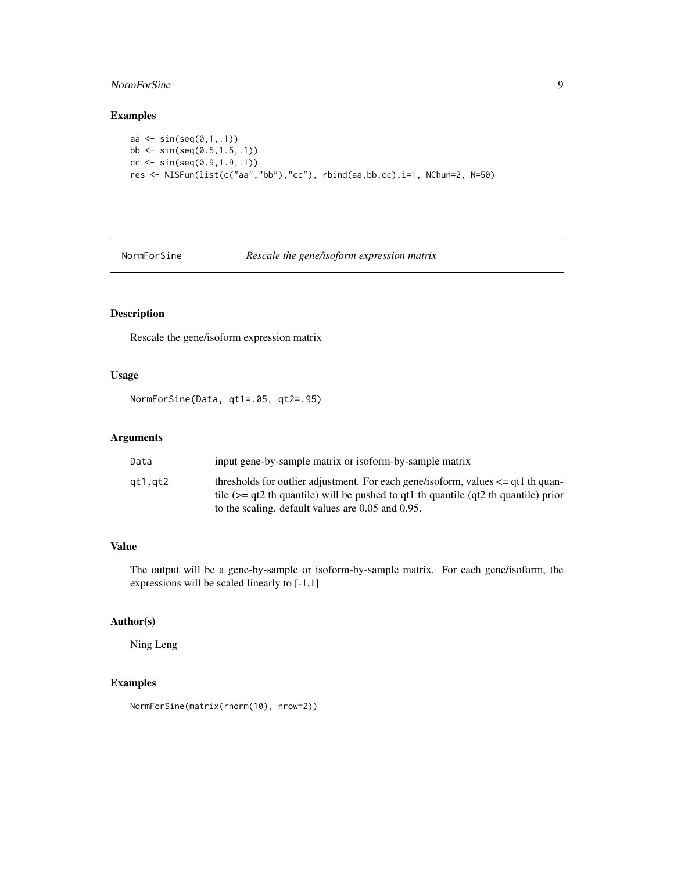#### <span id="page-8-0"></span>NormForSine 9

#### Examples

```
aa <- sin(seq(0,1,.1))
bb <- sin(seq(0.5,1.5,.1))
cc < - \sin(\sec(\theta.9, 1.9, .1))res <- NISFun(list(c("aa","bb"),"cc"), rbind(aa,bb,cc),i=1, NChun=2, N=50)
```
NormForSine *Rescale the gene/isoform expression matrix*

#### Description

Rescale the gene/isoform expression matrix

#### Usage

NormForSine(Data, qt1=.05, qt2=.95)

#### Arguments

| Data    | input gene-by-sample matrix or isoform-by-sample matrix                                                                                                                                                                                |
|---------|----------------------------------------------------------------------------------------------------------------------------------------------------------------------------------------------------------------------------------------|
| at1.at2 | thresholds for outlier adjustment. For each gene/isoform, values $\leq$ qt1 th quan-<br>tile ( $>=$ qt2 th quantile) will be pushed to qt1 th quantile ( $qt2$ th quantile) prior<br>to the scaling. default values are 0.05 and 0.95. |

#### Value

The output will be a gene-by-sample or isoform-by-sample matrix. For each gene/isoform, the expressions will be scaled linearly to [-1,1]

#### Author(s)

Ning Leng

#### Examples

NormForSine(matrix(rnorm(10), nrow=2))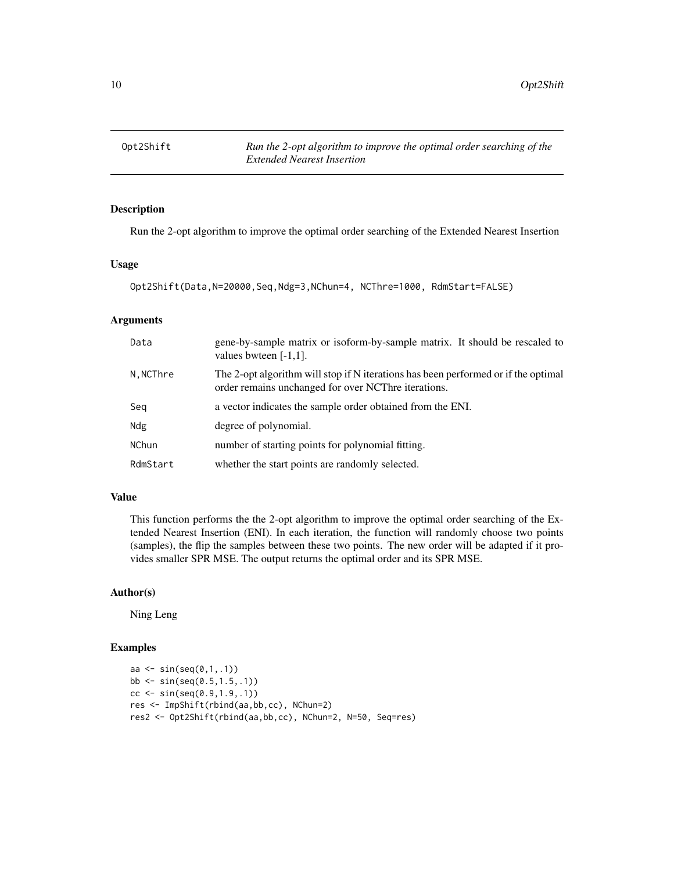<span id="page-9-0"></span>

Run the 2-opt algorithm to improve the optimal order searching of the Extended Nearest Insertion

#### Usage

```
Opt2Shift(Data,N=20000,Seq,Ndg=3,NChun=4, NCThre=1000, RdmStart=FALSE)
```
#### Arguments

| Data         | gene-by-sample matrix or isoform-by-sample matrix. It should be rescaled to<br>values bwteen $[-1,1]$ .                                   |
|--------------|-------------------------------------------------------------------------------------------------------------------------------------------|
| N, NCThre    | The 2-opt algorithm will stop if N iterations has been performed or if the optimal<br>order remains unchanged for over NCThre iterations. |
| Seg          | a vector indicates the sample order obtained from the ENI.                                                                                |
| Ndg          | degree of polynomial.                                                                                                                     |
| <b>NChun</b> | number of starting points for polynomial fitting.                                                                                         |
| RdmStart     | whether the start points are randomly selected.                                                                                           |

#### Value

This function performs the the 2-opt algorithm to improve the optimal order searching of the Extended Nearest Insertion (ENI). In each iteration, the function will randomly choose two points (samples), the flip the samples between these two points. The new order will be adapted if it provides smaller SPR MSE. The output returns the optimal order and its SPR MSE.

#### Author(s)

Ning Leng

```
aa \le sin(seq(0,1,1))
bb \le sin(seq(0.5,1.5,.1))
cc \le sin(seq(0.9,1.9,.1))
res <- ImpShift(rbind(aa,bb,cc), NChun=2)
res2 <- Opt2Shift(rbind(aa,bb,cc), NChun=2, N=50, Seq=res)
```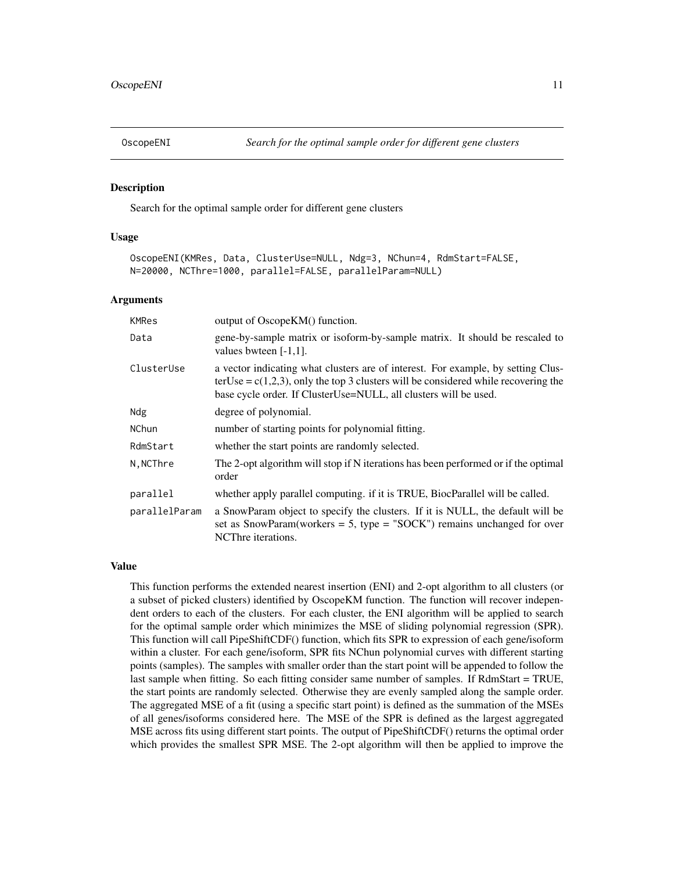<span id="page-10-0"></span>

Search for the optimal sample order for different gene clusters

#### Usage

OscopeENI(KMRes, Data, ClusterUse=NULL, Ndg=3, NChun=4, RdmStart=FALSE, N=20000, NCThre=1000, parallel=FALSE, parallelParam=NULL)

#### Arguments

| KMRes         | output of OscopeKM() function.                                                                                                                                                                                                                |
|---------------|-----------------------------------------------------------------------------------------------------------------------------------------------------------------------------------------------------------------------------------------------|
| Data          | gene-by-sample matrix or isoform-by-sample matrix. It should be rescaled to<br>values bwteen $[-1,1]$ .                                                                                                                                       |
| ClusterUse    | a vector indicating what clusters are of interest. For example, by setting Clus-<br>terUse = $c(1,2,3)$ , only the top 3 clusters will be considered while recovering the<br>base cycle order. If ClusterUse=NULL, all clusters will be used. |
| Ndg           | degree of polynomial.                                                                                                                                                                                                                         |
| <b>NChun</b>  | number of starting points for polynomial fitting.                                                                                                                                                                                             |
| RdmStart      | whether the start points are randomly selected.                                                                                                                                                                                               |
| N, NCThre     | The 2-opt algorithm will stop if N iterations has been performed or if the optimal<br>order                                                                                                                                                   |
| parallel      | whether apply parallel computing. if it is TRUE, BiocParallel will be called.                                                                                                                                                                 |
| parallelParam | a SnowParam object to specify the clusters. If it is NULL, the default will be<br>set as SnowParam(workers = 5, type = "SOCK") remains unchanged for over<br>NCThre iterations.                                                               |

#### Value

This function performs the extended nearest insertion (ENI) and 2-opt algorithm to all clusters (or a subset of picked clusters) identified by OscopeKM function. The function will recover independent orders to each of the clusters. For each cluster, the ENI algorithm will be applied to search for the optimal sample order which minimizes the MSE of sliding polynomial regression (SPR). This function will call PipeShiftCDF() function, which fits SPR to expression of each gene/isoform within a cluster. For each gene/isoform, SPR fits NChun polynomial curves with different starting points (samples). The samples with smaller order than the start point will be appended to follow the last sample when fitting. So each fitting consider same number of samples. If RdmStart = TRUE, the start points are randomly selected. Otherwise they are evenly sampled along the sample order. The aggregated MSE of a fit (using a specific start point) is defined as the summation of the MSEs of all genes/isoforms considered here. The MSE of the SPR is defined as the largest aggregated MSE across fits using different start points. The output of PipeShiftCDF() returns the optimal order which provides the smallest SPR MSE. The 2-opt algorithm will then be applied to improve the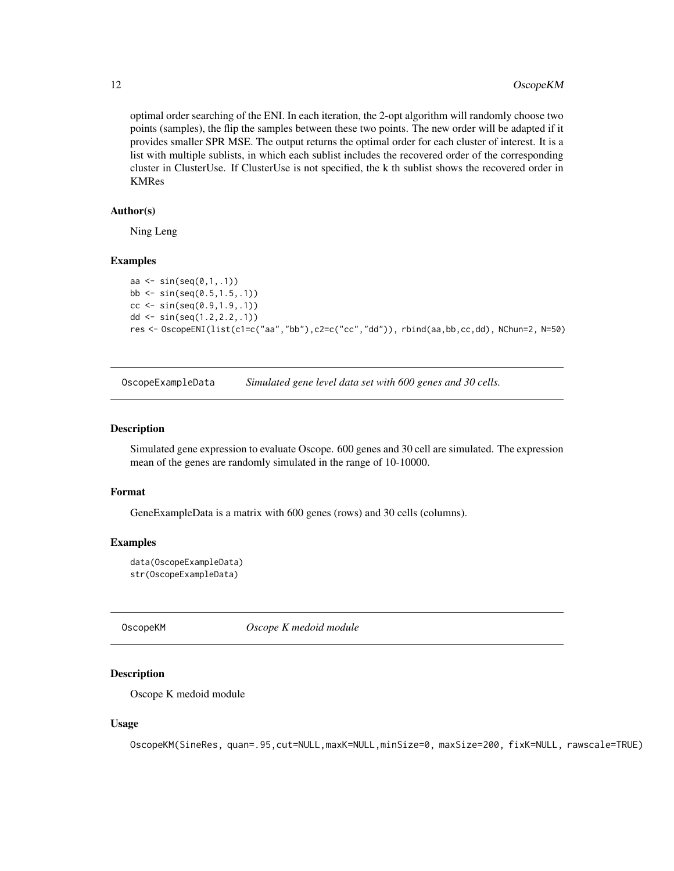optimal order searching of the ENI. In each iteration, the 2-opt algorithm will randomly choose two points (samples), the flip the samples between these two points. The new order will be adapted if it provides smaller SPR MSE. The output returns the optimal order for each cluster of interest. It is a list with multiple sublists, in which each sublist includes the recovered order of the corresponding cluster in ClusterUse. If ClusterUse is not specified, the k th sublist shows the recovered order in KMRes

#### Author(s)

Ning Leng

#### Examples

```
aa \le sin(seq(0,1,.1))
bb \le sin(seq(0.5,1.5,.1))
cc <- sin(seq(0.9, 1.9, .1))dd <- sin(seq(1.2,2.2,.1))
res <- OscopeENI(list(c1=c("aa","bb"),c2=c("cc","dd")), rbind(aa,bb,cc,dd), NChun=2, N=50)
```
OscopeExampleData *Simulated gene level data set with 600 genes and 30 cells.*

#### **Description**

Simulated gene expression to evaluate Oscope. 600 genes and 30 cell are simulated. The expression mean of the genes are randomly simulated in the range of 10-10000.

#### Format

GeneExampleData is a matrix with 600 genes (rows) and 30 cells (columns).

#### Examples

```
data(OscopeExampleData)
str(OscopeExampleData)
```
OscopeKM *Oscope K medoid module*

#### Description

Oscope K medoid module

#### Usage

OscopeKM(SineRes, quan=.95,cut=NULL,maxK=NULL,minSize=0, maxSize=200, fixK=NULL, rawscale=TRUE)

<span id="page-11-0"></span>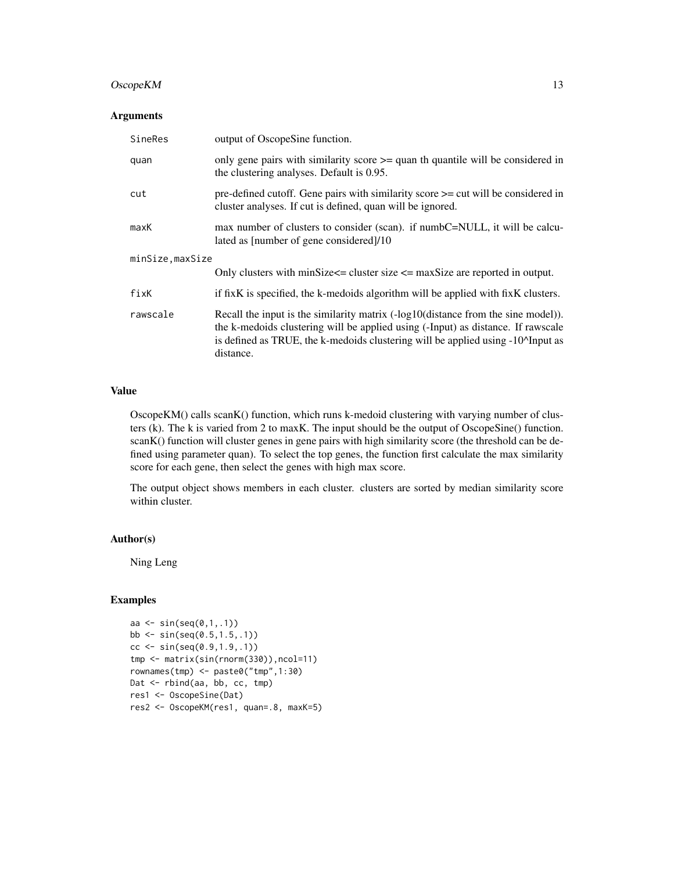#### OscopeKM 13

#### Arguments

| SineRes          | output of OscopeSine function.                                                                                                                                                                                                                                                                          |
|------------------|---------------------------------------------------------------------------------------------------------------------------------------------------------------------------------------------------------------------------------------------------------------------------------------------------------|
| quan             | only gene pairs with similarity score $\geq$ quan th quantile will be considered in<br>the clustering analyses. Default is 0.95.                                                                                                                                                                        |
| cut              | pre-defined cutoff. Gene pairs with similarity score $\geq$ cut will be considered in<br>cluster analyses. If cut is defined, quan will be ignored.                                                                                                                                                     |
| maxK             | max number of clusters to consider (scan). if numbC=NULL, it will be calcu-<br>lated as [number of gene considered]/10                                                                                                                                                                                  |
| minSize, maxSize |                                                                                                                                                                                                                                                                                                         |
|                  | Only clusters with minSize $\leq$ = cluster size $\leq$ maxSize are reported in output.                                                                                                                                                                                                                 |
| fixK             | if fixK is specified, the k-medoids algorithm will be applied with fixK clusters.                                                                                                                                                                                                                       |
| rawscale         | Recall the input is the similarity matrix $(-log10(distance from the sine model)).$<br>the k-medoids clustering will be applied using (-Input) as distance. If rawscale<br>is defined as TRUE, the k-medoids clustering will be applied using -10 <sup><math>\Lambda</math></sup> Input as<br>distance. |

#### Value

OscopeKM() calls scanK() function, which runs k-medoid clustering with varying number of clusters (k). The k is varied from 2 to maxK. The input should be the output of OscopeSine() function. scanK() function will cluster genes in gene pairs with high similarity score (the threshold can be defined using parameter quan). To select the top genes, the function first calculate the max similarity score for each gene, then select the genes with high max score.

The output object shows members in each cluster. clusters are sorted by median similarity score within cluster.

#### Author(s)

Ning Leng

```
aa \le sin(seq(0,1,1))
bb \le sin(seq(0.5,1.5,.1))
cc \le sin(seq(0.9,1.9,.1))
tmp <- matrix(sin(rnorm(330)),ncol=11)
rownames(tmp) <- paste0("tmp",1:30)
Dat <- rbind(aa, bb, cc, tmp)
res1 <- OscopeSine(Dat)
res2 <- OscopeKM(res1, quan=.8, maxK=5)
```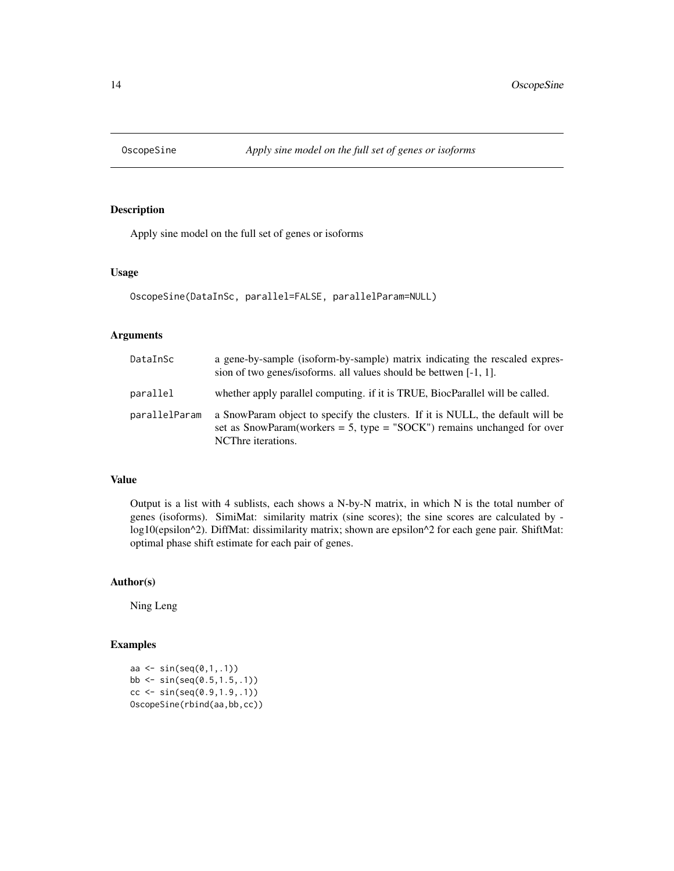<span id="page-13-0"></span>

Apply sine model on the full set of genes or isoforms

#### Usage

```
OscopeSine(DataInSc, parallel=FALSE, parallelParam=NULL)
```
#### Arguments

| DataInSc      | a gene-by-sample (isoform-by-sample) matrix indicating the rescaled expres-<br>sion of two genes/isoforms. all values should be bettwen $[-1, 1]$ .                             |
|---------------|---------------------------------------------------------------------------------------------------------------------------------------------------------------------------------|
| parallel      | whether apply parallel computing. if it is TRUE, BiocParallel will be called.                                                                                                   |
| parallelParam | a SnowParam object to specify the clusters. If it is NULL, the default will be<br>set as SnowParam(workers = 5, type = "SOCK") remains unchanged for over<br>NCThre iterations. |

#### Value

Output is a list with 4 sublists, each shows a N-by-N matrix, in which N is the total number of genes (isoforms). SimiMat: similarity matrix (sine scores); the sine scores are calculated by log10(epsilon^2). DiffMat: dissimilarity matrix; shown are epsilon^2 for each gene pair. ShiftMat: optimal phase shift estimate for each pair of genes.

#### Author(s)

Ning Leng

```
aa \le sin(seq(0,1,.1))
bb <- sin(seq(0.5,1.5,.1))
cc < - \sin(\sec(\theta.9, 1.9, .1))OscopeSine(rbind(aa,bb,cc))
```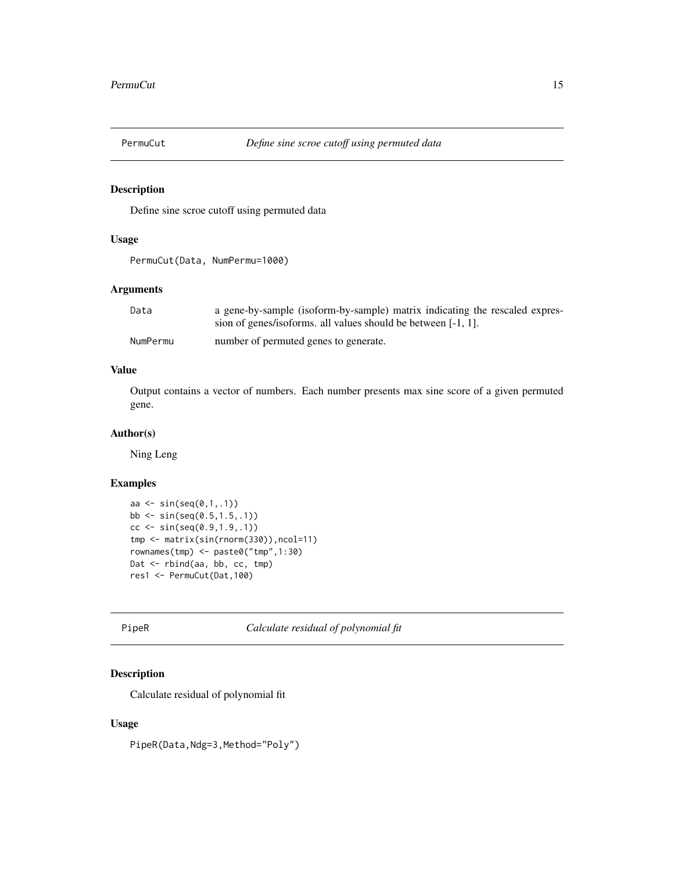<span id="page-14-0"></span>

Define sine scroe cutoff using permuted data

#### Usage

```
PermuCut(Data, NumPermu=1000)
```
#### Arguments

| Data     | a gene-by-sample (isoform-by-sample) matrix indicating the rescaled expres- |
|----------|-----------------------------------------------------------------------------|
|          | sion of genes/isoforms. all values should be between [-1, 1].               |
| NumPermu | number of permuted genes to generate.                                       |

#### Value

Output contains a vector of numbers. Each number presents max sine score of a given permuted gene.

#### Author(s)

Ning Leng

#### Examples

```
aa <- sin(seq(0,1,.1))
bb \le sin(seq(0.5,1.5,.1))
cc \le -\sin(\sec(\theta.9, 1.9, .1))tmp <- matrix(sin(rnorm(330)),ncol=11)
rownames(tmp) <- paste0("tmp",1:30)
Dat <- rbind(aa, bb, cc, tmp)
res1 <- PermuCut(Dat,100)
```
PipeR *Calculate residual of polynomial fit*

#### Description

Calculate residual of polynomial fit

#### Usage

PipeR(Data, Ndg=3, Method="Poly")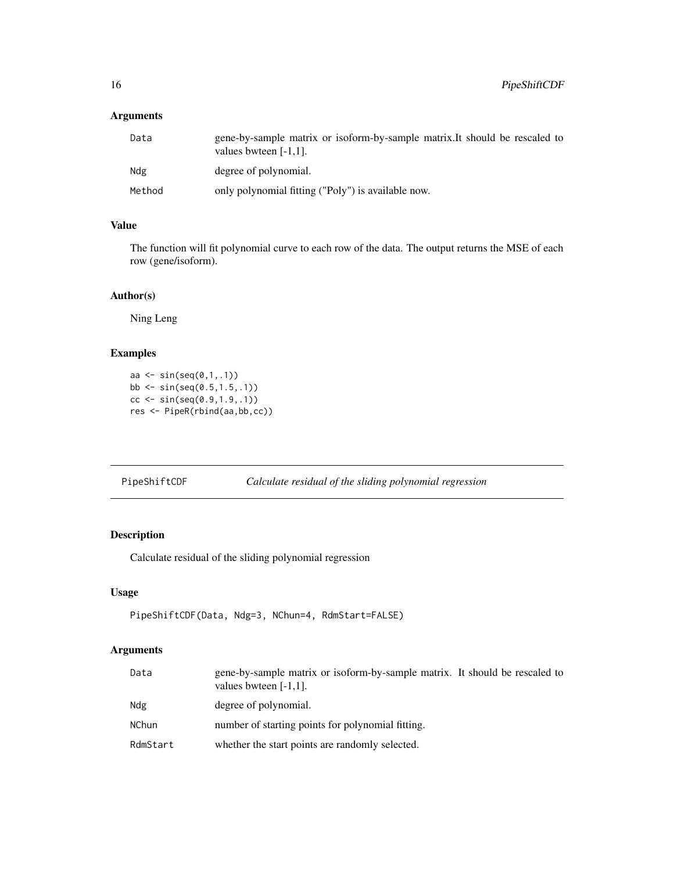#### <span id="page-15-0"></span>Arguments

| Data   | gene-by-sample matrix or isoform-by-sample matrix. It should be rescaled to<br>values bwteen $[-1,1]$ . |
|--------|---------------------------------------------------------------------------------------------------------|
| Ndg    | degree of polynomial.                                                                                   |
| Method | only polynomial fitting ("Poly") is available now.                                                      |

#### Value

The function will fit polynomial curve to each row of the data. The output returns the MSE of each row (gene/isoform).

#### Author(s)

Ning Leng

#### Examples

```
aa <- sin(seq(0,1,.1))
bb \le sin(seq(0.5,1.5,.1))
cc <- sin(seq(0.9,1.9,.1))
res <- PipeR(rbind(aa,bb,cc))
```

| PipeShiftCDF |  | Calculate residual of the sliding polynomial regression |
|--------------|--|---------------------------------------------------------|
|              |  |                                                         |

#### Description

Calculate residual of the sliding polynomial regression

#### Usage

```
PipeShiftCDF(Data, Ndg=3, NChun=4, RdmStart=FALSE)
```
#### Arguments

| Data         | gene-by-sample matrix or isoform-by-sample matrix. It should be rescaled to<br>values bwteen $[-1,1]$ . |
|--------------|---------------------------------------------------------------------------------------------------------|
| Ndg          | degree of polynomial.                                                                                   |
| <b>NChun</b> | number of starting points for polynomial fitting.                                                       |
| RdmStart     | whether the start points are randomly selected.                                                         |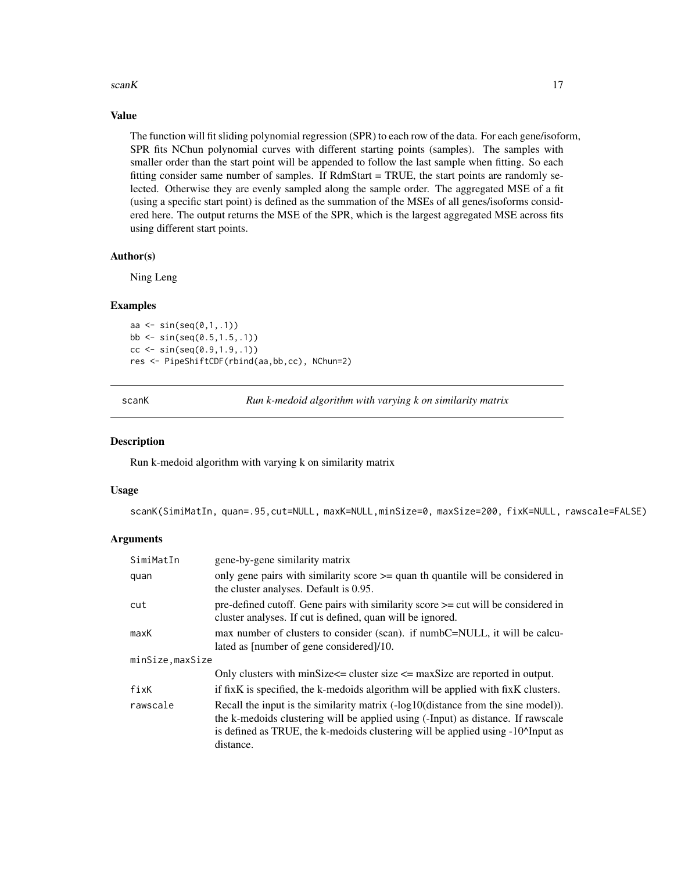#### <span id="page-16-0"></span>scanK  $17$

#### Value

The function will fit sliding polynomial regression (SPR) to each row of the data. For each gene/isoform, SPR fits NChun polynomial curves with different starting points (samples). The samples with smaller order than the start point will be appended to follow the last sample when fitting. So each fitting consider same number of samples. If RdmStart = TRUE, the start points are randomly selected. Otherwise they are evenly sampled along the sample order. The aggregated MSE of a fit (using a specific start point) is defined as the summation of the MSEs of all genes/isoforms considered here. The output returns the MSE of the SPR, which is the largest aggregated MSE across fits using different start points.

#### Author(s)

Ning Leng

#### Examples

aa  $\le$  sin(seq $(0,1,1)$ ) bb <- sin(seq(0.5,1.5,.1))  $cc < - \sin(\sec(\theta.9, 1.9, .1))$ res <- PipeShiftCDF(rbind(aa,bb,cc), NChun=2)

scanK *Run k-medoid algorithm with varying k on similarity matrix*

#### Description

Run k-medoid algorithm with varying k on similarity matrix

#### Usage

scanK(SimiMatIn, quan=.95,cut=NULL, maxK=NULL,minSize=0, maxSize=200, fixK=NULL, rawscale=FALSE)

#### Arguments

| SimiMatIn        | gene-by-gene similarity matrix                                                                                                                                                                                                                                                                       |
|------------------|------------------------------------------------------------------------------------------------------------------------------------------------------------------------------------------------------------------------------------------------------------------------------------------------------|
| quan             | only gene pairs with similarity score $\geq$ quan th quantile will be considered in<br>the cluster analyses. Default is 0.95.                                                                                                                                                                        |
| cut              | pre-defined cutoff. Gene pairs with similarity score $\geq$ cut will be considered in<br>cluster analyses. If cut is defined, quan will be ignored.                                                                                                                                                  |
| maxK             | max number of clusters to consider (scan). if numbC=NULL, it will be calcu-<br>lated as [number of gene considered]/10.                                                                                                                                                                              |
| minSize, maxSize |                                                                                                                                                                                                                                                                                                      |
|                  | Only clusters with minSize $\leq$ = cluster size $\leq$ maxSize are reported in output.                                                                                                                                                                                                              |
| fixK             | if fixK is specified, the k-medoids algorithm will be applied with fixK clusters.                                                                                                                                                                                                                    |
| rawscale         | Recall the input is the similarity matrix (-log10(distance from the sine model)).<br>the k-medoids clustering will be applied using (-Input) as distance. If rawscale<br>is defined as TRUE, the k-medoids clustering will be applied using -10 <sup><math>\alpha</math></sup> Input as<br>distance. |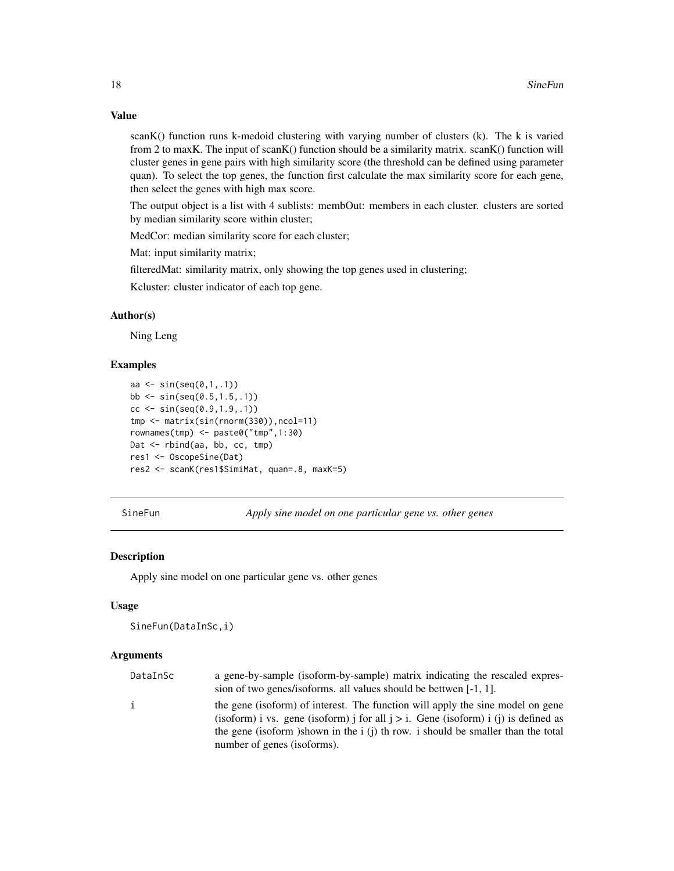#### Value

scanK() function runs k-medoid clustering with varying number of clusters (k). The k is varied from 2 to maxK. The input of scanK() function should be a similarity matrix. scanK() function will cluster genes in gene pairs with high similarity score (the threshold can be defined using parameter quan). To select the top genes, the function first calculate the max similarity score for each gene, then select the genes with high max score.

The output object is a list with 4 sublists: membOut: members in each cluster. clusters are sorted by median similarity score within cluster;

MedCor: median similarity score for each cluster;

Mat: input similarity matrix;

filteredMat: similarity matrix, only showing the top genes used in clustering;

Kcluster: cluster indicator of each top gene.

#### Author(s)

Ning Leng

#### Examples

```
aa \le sin(seq(0,1,1))
bb \le sin(seq(0.5,1.5,.1))
cc \le sin(seq(0.9,1.9,.1))
tmp <- matrix(sin(rnorm(330)),ncol=11)
rownames(tmp) <- paste0("tmp",1:30)
Dat <- rbind(aa, bb, cc, tmp)
res1 <- OscopeSine(Dat)
res2 <- scanK(res1$SimiMat, quan=.8, maxK=5)
```
SineFun *Apply sine model on one particular gene vs. other genes*

#### Description

Apply sine model on one particular gene vs. other genes

#### Usage

```
SineFun(DataInSc,i)
```
#### Arguments

| DataInSc | a gene-by-sample (isoform-by-sample) matrix indicating the rescaled expres-<br>sion of two genes/isoforms. all values should be bettwen [-1, 1].                        |
|----------|-------------------------------------------------------------------------------------------------------------------------------------------------------------------------|
|          | the gene (isoform) of interest. The function will apply the sine model on gene<br>(isoform) i vs. gene (isoform) j for all $j > i$ . Gene (isoform) i (j) is defined as |
|          | the gene (isoform) shown in the i (j) th row, i should be smaller than the total<br>number of genes (isoforms).                                                         |

<span id="page-17-0"></span>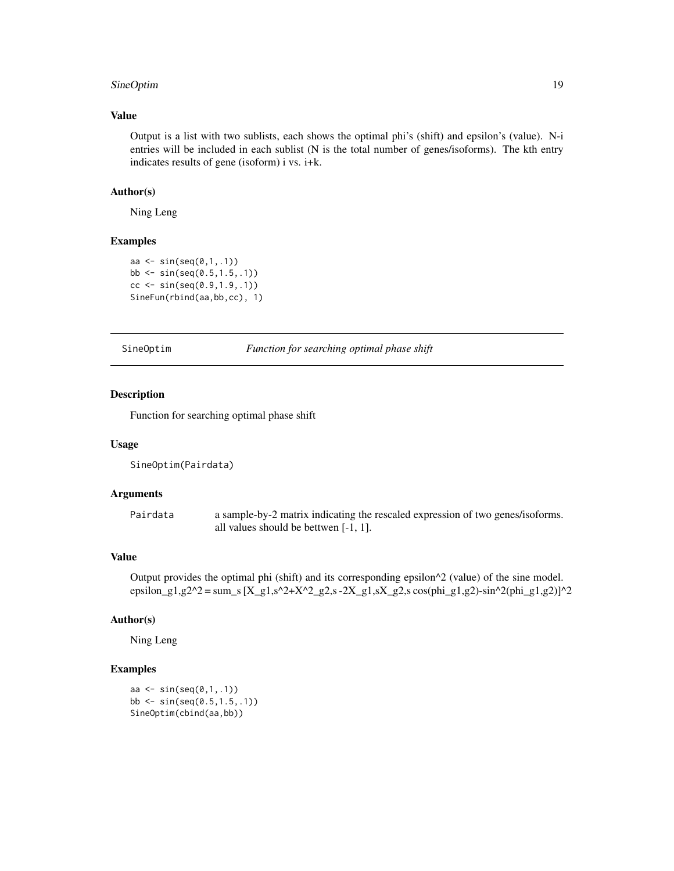#### <span id="page-18-0"></span>SineOptim 19

#### Value

Output is a list with two sublists, each shows the optimal phi's (shift) and epsilon's (value). N-i entries will be included in each sublist (N is the total number of genes/isoforms). The kth entry indicates results of gene (isoform) i vs. i+k.

#### Author(s)

Ning Leng

#### Examples

```
aa \le sin(seq(0,1,1))
bb <- sin(seq(0.5,1.5,.1))
cc < - \sin(\sec(\theta.9, 1.9, .1))SineFun(rbind(aa,bb,cc), 1)
```
SineOptim *Function for searching optimal phase shift*

#### Description

Function for searching optimal phase shift

#### Usage

```
SineOptim(Pairdata)
```
#### Arguments

Pairdata a sample-by-2 matrix indicating the rescaled expression of two genes/isoforms. all values should be bettwen [-1, 1].

#### Value

Output provides the optimal phi (shift) and its corresponding epsilon $\gamma$ 2 (value) of the sine model. epsilon\_g1,g2^2 = sum\_s  $[X_g1, s^2+X^2_g2, s - 2X_g1, sX_g2, s \cos(\phi hig1, g2) - \sin^2(\phi hig1, g2)]^2$ 

#### Author(s)

Ning Leng

```
aa <- sin(seq(0,1,.1))
bb <- sin(seq(0.5,1.5,.1))
SineOptim(cbind(aa,bb))
```